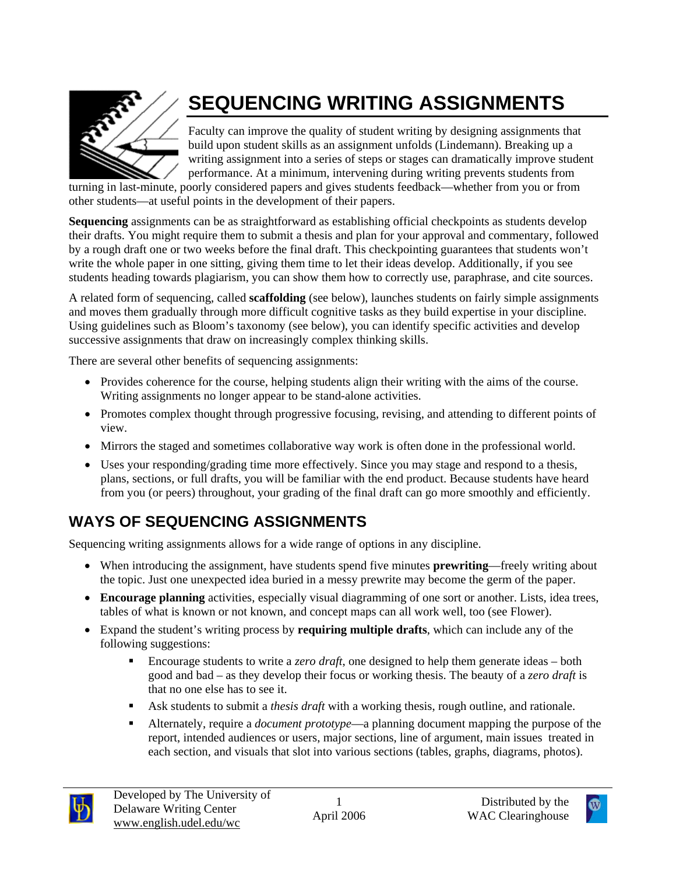

# **SEQUENCING WRITING ASSIGNMENTS**

Faculty can improve the quality of student writing by designing assignments that build upon student skills as an assignment unfolds (Lindemann). Breaking up a writing assignment into a series of steps or stages can dramatically improve student performance. At a minimum, intervening during writing prevents students from

turning in last-minute, poorly considered papers and gives students feedback—whether from you or from other students—at useful points in the development of their papers.

**Sequencing** assignments can be as straightforward as establishing official checkpoints as students develop their drafts. You might require them to submit a thesis and plan for your approval and commentary, followed by a rough draft one or two weeks before the final draft. This checkpointing guarantees that students won't write the whole paper in one sitting, giving them time to let their ideas develop. Additionally, if you see students heading towards plagiarism, you can show them how to correctly use, paraphrase, and cite sources.

A related form of sequencing, called **scaffolding** (see below), launches students on fairly simple assignments and moves them gradually through more difficult cognitive tasks as they build expertise in your discipline. Using guidelines such as Bloom's taxonomy (see below), you can identify specific activities and develop successive assignments that draw on increasingly complex thinking skills.

There are several other benefits of sequencing assignments:

- Provides coherence for the course, helping students align their writing with the aims of the course. Writing assignments no longer appear to be stand-alone activities.
- Promotes complex thought through progressive focusing, revising, and attending to different points of view.
- Mirrors the staged and sometimes collaborative way work is often done in the professional world.
- Uses your responding/grading time more effectively. Since you may stage and respond to a thesis, plans, sections, or full drafts, you will be familiar with the end product. Because students have heard from you (or peers) throughout, your grading of the final draft can go more smoothly and efficiently.

## **WAYS OF SEQUENCING ASSIGNMENTS**

Sequencing writing assignments allows for a wide range of options in any discipline.

- When introducing the assignment, have students spend five minutes **prewriting**—freely writing about the topic. Just one unexpected idea buried in a messy prewrite may become the germ of the paper.
- **Encourage planning** activities, especially visual diagramming of one sort or another. Lists, idea trees, tables of what is known or not known, and concept maps can all work well, too (see Flower).
- Expand the student's writing process by **requiring multiple drafts**, which can include any of the following suggestions:
	- Encourage students to write a *zero draft*, one designed to help them generate ideas both good and bad – as they develop their focus or working thesis. The beauty of a *zero draft* is that no one else has to see it.
	- Ask students to submit a *thesis draft* with a working thesis, rough outline, and rationale.
	- Alternately, require a *document prototype*—a planning document mapping the purpose of the report, intended audiences or users, major sections, line of argument, main issues treated in each section, and visuals that slot into various sections (tables, graphs, diagrams, photos).



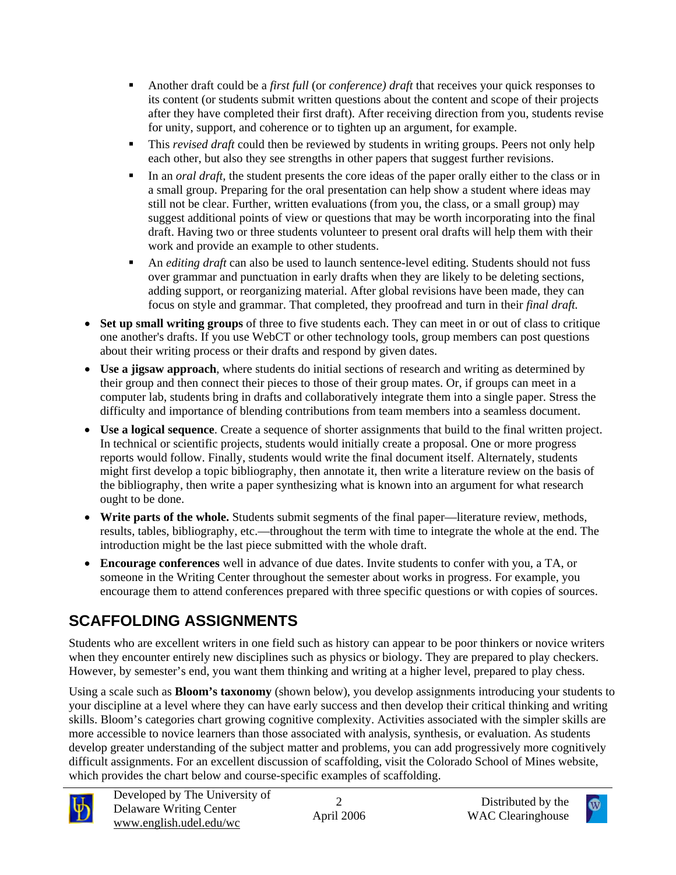- Another draft could be a *first full* (or *conference) draft* that receives your quick responses to its content (or students submit written questions about the content and scope of their projects after they have completed their first draft). After receiving direction from you, students revise for unity, support, and coherence or to tighten up an argument, for example.
- This *revised draft* could then be reviewed by students in writing groups. Peers not only help each other, but also they see strengths in other papers that suggest further revisions.
- In an *oral draft*, the student presents the core ideas of the paper orally either to the class or in a small group. Preparing for the oral presentation can help show a student where ideas may still not be clear. Further, written evaluations (from you, the class, or a small group) may suggest additional points of view or questions that may be worth incorporating into the final draft. Having two or three students volunteer to present oral drafts will help them with their work and provide an example to other students.
- An *editing draft* can also be used to launch sentence-level editing. Students should not fuss over grammar and punctuation in early drafts when they are likely to be deleting sections, adding support, or reorganizing material. After global revisions have been made, they can focus on style and grammar. That completed, they proofread and turn in their *final draft.*
- **Set up small writing groups** of three to five students each. They can meet in or out of class to critique one another's drafts. If you use WebCT or other technology tools, group members can post questions about their writing process or their drafts and respond by given dates.
- **Use a jigsaw approach**, where students do initial sections of research and writing as determined by their group and then connect their pieces to those of their group mates. Or, if groups can meet in a computer lab, students bring in drafts and collaboratively integrate them into a single paper. Stress the difficulty and importance of blending contributions from team members into a seamless document.
- **Use a logical sequence**. Create a sequence of shorter assignments that build to the final written project. In technical or scientific projects, students would initially create a proposal. One or more progress reports would follow. Finally, students would write the final document itself. Alternately, students might first develop a topic bibliography, then annotate it, then write a literature review on the basis of the bibliography, then write a paper synthesizing what is known into an argument for what research ought to be done.
- **Write parts of the whole.** Students submit segments of the final paper—literature review, methods, results, tables, bibliography, etc.—throughout the term with time to integrate the whole at the end. The introduction might be the last piece submitted with the whole draft.
- **Encourage conferences** well in advance of due dates. Invite students to confer with you, a TA, or someone in the Writing Center throughout the semester about works in progress. For example, you encourage them to attend conferences prepared with three specific questions or with copies of sources.

# **SCAFFOLDING ASSIGNMENTS**

Students who are excellent writers in one field such as history can appear to be poor thinkers or novice writers when they encounter entirely new disciplines such as physics or biology. They are prepared to play checkers. However, by semester's end, you want them thinking and writing at a higher level, prepared to play chess.

Using a scale such as **Bloom's taxonomy** (shown below), you develop assignments introducing your students to your discipline at a level where they can have early success and then develop their critical thinking and writing skills. Bloom's categories chart growing cognitive complexity. Activities associated with the simpler skills are more accessible to novice learners than those associated with analysis, synthesis, or evaluation. As students develop greater understanding of the subject matter and problems, you can add progressively more cognitively difficult assignments. For an excellent discussion of scaffolding, visit the Colorado School of Mines website, which provides the chart below and course-specific examples of scaffolding.